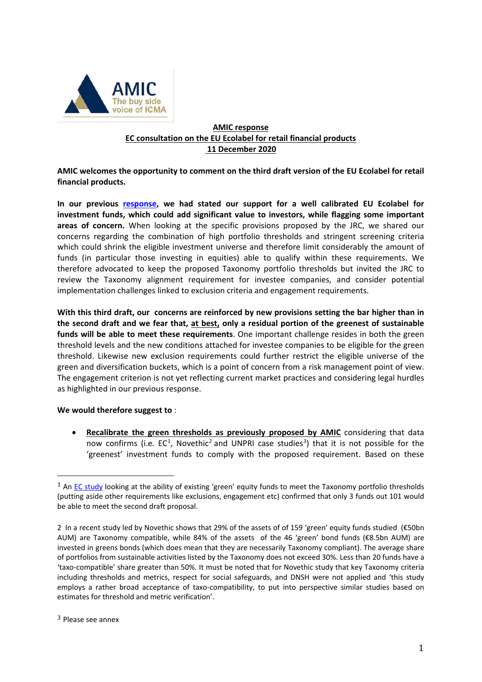

## **AMIC response EC consultation on the EU Ecolabel for retail financial products 11 December 2020**

**AMIC welcomes the opportunity to comment on the third draft version of the EU Ecolabel for retail financial products.**

**In our previous [response,](https://www.icmagroup.org/assets/documents/Regulatory/AMIC/AMIC-response-EU-Ecolabel-17042020-final.pdf) we had stated our support for a well calibrated EU Ecolabel for investment funds, which could add significant value to investors, while flagging some important areas of concern.** When looking at the specific provisions proposed by the JRC, we shared our concerns regarding the combination of high portfolio thresholds and stringent screening criteria which could shrink the eligible investment universe and therefore limit considerably the amount of funds (in particular those investing in equities) able to qualify within these requirements. We therefore advocated to keep the proposed Taxonomy portfolio thresholds but invited the JRC to review the Taxonomy alignment requirement for investee companies, and consider potential implementation challenges linked to exclusion criteria and engagement requirements.

**With this third draft, our concerns are reinforced by new provisions setting the bar higher than in the second draft and we fear that, at best, only a residual portion of the greenest of sustainable funds will be able to meet these requirements**. One important challenge resides in both the green threshold levels and the new conditions attached for investee companies to be eligible for the green threshold. Likewise new exclusion requirements could further restrict the eligible universe of the green and diversification buckets, which is a point of concern from a risk management point of view. The engagement criterion is not yet reflecting current market practices and considering legal hurdles as highlighted in our previous response.

#### **We would therefore suggest to** :

• **Recalibrate the green thresholds as previously [proposed by AMIC](https://www.icmagroup.org/assets/documents/Regulatory/AMIC/AMIC-response-EU-Ecolabel-17042020-final.pdf#https://www.icmagroup.org/assets/documents/Regulatory/AMIC/AMIC-response-EU-Ecolabel-17042020-final.pdf)** considering that data now confirms (i.e.  $EC^1$  $EC^1$ , Novethic<sup>[2](#page-0-1)</sup> and UNPRI case studies<sup>[3](#page-0-2)</sup>) that it is not possible for the 'greenest' investment funds to comply with the proposed requirement. Based on these

<span id="page-0-0"></span> $1$  A[n EC study](https://op.europa.eu/en/publication-detail/-/publication/91cc2c0b-ba78-11ea-811c-01aa75ed71a1/language-en/format-PDF/source-137198287) looking at the ability of existing 'green' equity funds to meet the Taxonomy portfolio thresholds (putting aside other requirements like exclusions, engagement etc) confirmed that only 3 funds out 101 would be able to meet the second draft proposal.

<span id="page-0-2"></span><span id="page-0-1"></span><sup>2</sup> In a recent study led by Novethic shows that 29% of the assets of of 159 'green' equity funds studied (€50bn AUM) are Taxonomy compatible, while 84% of the assets of the 46 'green' bond funds (€8.5bn AUM) are invested in greens bonds (which does mean that they are necessarily Taxonomy compliant). The average share of portfolios from sustainable activities listed by the Taxonomy does not exceed 30%. Less than 20 funds have a 'taxo-compatible' share greater than 50%. It must be noted that for Novethic study that key Taxonomy criteria including thresholds and metrics, respect for social safeguards, and DNSH were not applied and 'this study employs a rather broad acceptance of taxo-compatibility, to put into perspective similar studies based on estimates for threshold and metric verification'.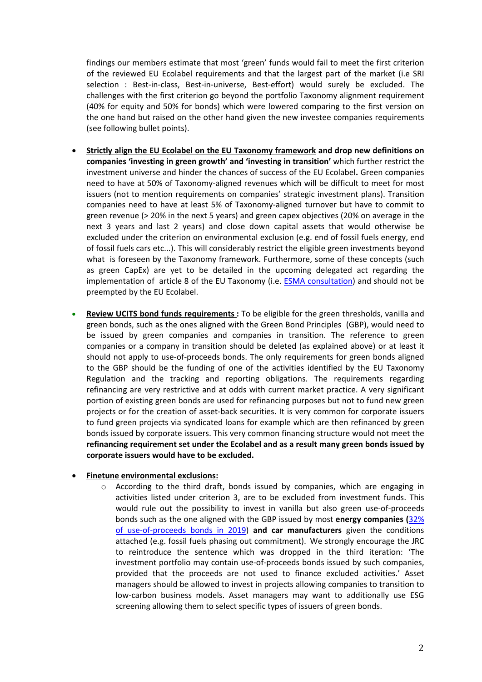findings our members estimate that most 'green' funds would fail to meet the first criterion of the reviewed EU Ecolabel requirements and that the largest part of the market (i.e SRI selection : Best-in-class, Best-in-universe, Best-effort) would surely be excluded. The challenges with the first criterion go beyond the portfolio Taxonomy alignment requirement (40% for equity and 50% for bonds) which were lowered comparing to the first version on the one hand but raised on the other hand given the new investee companies requirements (see following bullet points).

- **Strictly align the EU Ecolabel on the EU Taxonomy framework and drop new definitions on companies 'investing in green growth' and 'investing in transition'** which further restrict the investment universe and hinder the chances of success of the EU Ecolabel**.** Green companies need to have at 50% of Taxonomy-aligned revenues which will be difficult to meet for most issuers (not to mention requirements on companies' strategic investment plans). Transition companies need to have at least 5% of Taxonomy-aligned turnover but have to commit to green revenue (> 20% in the next 5 years) and green capex objectives (20% on average in the next 3 years and last 2 years) and close down capital assets that would otherwise be excluded under the criterion on environmental exclusion (e.g. end of fossil fuels energy, end of fossil fuels cars etc...). This will considerably restrict the eligible green investments beyond what is foreseen by the Taxonomy framework. Furthermore, some of these concepts (such as green CapEx) are yet to be detailed in the upcoming delegated act regarding the implementation of article 8 of the EU Taxonomy (i.e. [ESMA consultation\)](https://www.esma.europa.eu/press-news/consultations/consultation-paper-draft-advice-ec-under-article-8-taxonomy-regulation) and should not be preempted by the EU Ecolabel.
- **Review UCITS bond funds requirements :** To be eligible for the green thresholds, vanilla and green bonds, such as the ones aligned with the Green Bond Principles (GBP), would need to be issued by green companies and companies in transition. The reference to green companies or a company in transition should be deleted (as explained above) or at least it should not apply to use-of-proceeds bonds. The only requirements for green bonds aligned to the GBP should be the funding of one of the activities identified by the EU Taxonomy Regulation and the tracking and reporting obligations. The requirements regarding refinancing are very restrictive and at odds with current market practice. A very significant portion of existing green bonds are used for refinancing purposes but not to fund new green projects or for the creation of asset-back securities. It is very common for corporate issuers to fund green projects via syndicated loans for example which are then refinanced by green bonds issued by corporate issuers. This very common financing structure would not meet the **refinancing requirement set under the Ecolabel and as a result many green bonds issued by corporate issuers would have to be excluded.**

#### • **Finetune environmental exclusions:**

o According to the third draft, bonds issued by companies, which are engaging in activities listed under criterion 3, are to be excluded from investment funds. This would rule out the possibility to invest in vanilla but also green use-of-proceeds bonds such as the one aligned with the GBP issued by most **energy companies (**[32%](https://www.climatebonds.net/files/reports/cbi_sotm_2019_vol1_04d.pdf)  [of use-of-proceeds bonds in 2019\)](https://www.climatebonds.net/files/reports/cbi_sotm_2019_vol1_04d.pdf) **and car manufacturers** given the conditions attached (e.g. fossil fuels phasing out commitment). We strongly encourage the JRC to reintroduce the sentence which was dropped in the third iteration: 'The investment portfolio may contain use-of-proceeds bonds issued by such companies, provided that the proceeds are not used to finance excluded activities.' Asset managers should be allowed to invest in projects allowing companies to transition to low-carbon business models. Asset managers may want to additionally use ESG screening allowing them to select specific types of issuers of green bonds.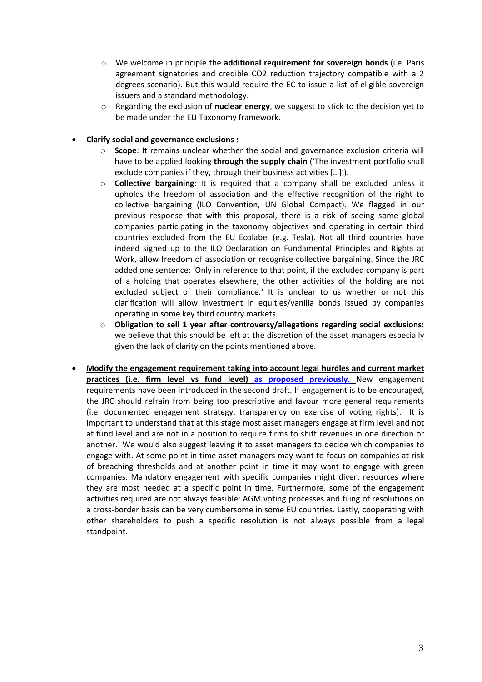- o We welcome in principle the **additional requirement for sovereign bonds** (i.e. Paris agreement signatories and credible CO2 reduction trajectory compatible with a 2 degrees scenario). But this would require the EC to issue a list of eligible sovereign issuers and a standard methodology.
- o Regarding the exclusion of **nuclear energy**, we suggest to stick to the decision yet to be made under the EU Taxonomy framework.

### • **Clarify social and governance exclusions :**

- o **Scope**: It remains unclear whether the social and governance exclusion criteria will have to be applied looking **through the supply chain** ('The investment portfolio shall exclude companies if they, through their business activities […]').
- o **Collective bargaining:** It is required that a company shall be excluded unless it upholds the freedom of association and the effective recognition of the right to collective bargaining (ILO Convention, UN Global Compact). We flagged in our previous response that with this proposal, there is a risk of seeing some global companies participating in the taxonomy objectives and operating in certain third countries excluded from the EU Ecolabel (e.g. Tesla). Not all third countries have indeed signed up to the ILO Declaration on Fundamental Principles and Rights at Work, allow freedom of association or recognise collective bargaining. Since the JRC added one sentence: 'Only in reference to that point, if the excluded company is part of a holding that operates elsewhere, the other activities of the holding are not excluded subject of their compliance.' It is unclear to us whether or not this clarification will allow investment in equities/vanilla bonds issued by companies operating in some key third country markets.
- o **Obligation to sell 1 year after controversy/allegations regarding social exclusions:**  we believe that this should be left at the discretion of the asset managers especially given the lack of clarity on the points mentioned above.
- **Modify the engagement requirement taking into account legal hurdles and current market practices (i.e. firm level vs fund level) [as proposed previously.](https://www.icmagroup.org/assets/documents/Regulatory/AMIC/AMIC-response-EU-Ecolabel-17042020-final.pdf)** New engagement requirements have been introduced in the second draft. If engagement is to be encouraged, the JRC should refrain from being too prescriptive and favour more general requirements (i.e. documented engagement strategy, transparency on exercise of voting rights). It is important to understand that at this stage most asset managers engage at firm level and not at fund level and are not in a position to require firms to shift revenues in one direction or another. We would also suggest leaving it to asset managers to decide which companies to engage with. At some point in time asset managers may want to focus on companies at risk of breaching thresholds and at another point in time it may want to engage with green companies. Mandatory engagement with specific companies might divert resources where they are most needed at a specific point in time. Furthermore, some of the engagement activities required are not always feasible: AGM voting processes and filing of resolutions on a cross-border basis can be very cumbersome in some EU countries. Lastly, cooperating with other shareholders to push a specific resolution is not always possible from a legal standpoint.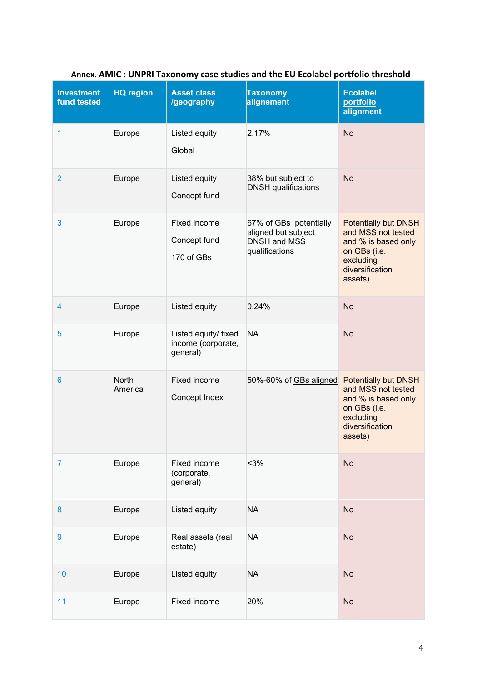| <b>Investment</b><br>fund tested | <b>HQ region</b>        | <b>Asset class</b><br>/geography                       | <b>Taxonomy</b><br>alignement                                                          | <b>Ecolabel</b><br>portfolio<br>alignment                                                                                           |
|----------------------------------|-------------------------|--------------------------------------------------------|----------------------------------------------------------------------------------------|-------------------------------------------------------------------------------------------------------------------------------------|
| 1                                | Europe                  | Listed equity<br>Global                                | 2.17%                                                                                  | <b>No</b>                                                                                                                           |
| $\overline{2}$                   | Europe                  | Listed equity<br>Concept fund                          | 38% but subject to<br><b>DNSH</b> qualifications                                       | <b>No</b>                                                                                                                           |
| 3                                | Europe                  | Fixed income<br>Concept fund<br>170 of GBs             | 67% of GBs potentially<br>aligned but subject<br><b>DNSH and MSS</b><br>qualifications | <b>Potentially but DNSH</b><br>and MSS not tested<br>and % is based only<br>on GBs (i.e.<br>excluding<br>diversification<br>assets) |
| 4                                | Europe                  | Listed equity                                          | 0.24%                                                                                  | <b>No</b>                                                                                                                           |
| 5                                | Europe                  | Listed equity/ fixed<br>income (corporate,<br>general) | <b>NA</b>                                                                              | <b>No</b>                                                                                                                           |
| $6\phantom{1}6$                  | <b>North</b><br>America | Fixed income<br>Concept Index                          | 50%-60% of GBs aligned                                                                 | <b>Potentially but DNSH</b><br>and MSS not tested<br>and % is based only<br>on GBs (i.e.<br>excluding<br>diversification<br>assets) |
| $\overline{7}$                   | Europe                  | Fixed income<br>(corporate,<br>general)                | $3%$                                                                                   | <b>No</b>                                                                                                                           |
| 8                                | Europe                  | Listed equity                                          | <b>NA</b>                                                                              | <b>No</b>                                                                                                                           |
| 9                                | Europe                  | Real assets (real<br>estate)                           | <b>NA</b>                                                                              | <b>No</b>                                                                                                                           |
| 10                               | Europe                  | Listed equity                                          | <b>NA</b>                                                                              | <b>No</b>                                                                                                                           |
| 11                               | Europe                  | Fixed income                                           | 20%                                                                                    | <b>No</b>                                                                                                                           |

# **Annex. AMIC : UNPRI Taxonomy case studies and the EU Ecolabel portfolio threshold**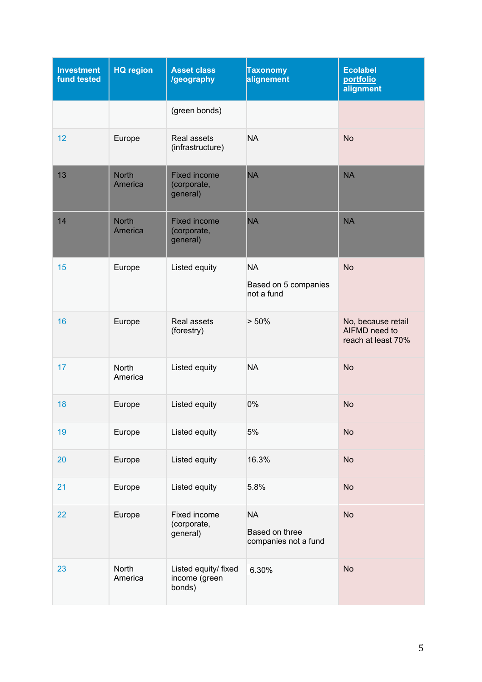| <b>Investment</b><br>fund tested | <b>HQ region</b>        | <b>Asset class</b><br>/geography                | <b>Taxonomy</b><br>alignement                       | <b>Ecolabel</b><br>portfolio<br>alignment                 |
|----------------------------------|-------------------------|-------------------------------------------------|-----------------------------------------------------|-----------------------------------------------------------|
|                                  |                         | (green bonds)                                   |                                                     |                                                           |
| 12                               | Europe                  | Real assets<br>(infrastructure)                 | <b>NA</b>                                           | <b>No</b>                                                 |
| 13                               | <b>North</b><br>America | <b>Fixed income</b><br>(corporate,<br>general)  | <b>NA</b>                                           | <b>NA</b>                                                 |
| 14                               | <b>North</b><br>America | <b>Fixed income</b><br>(corporate,<br>general)  | <b>NA</b>                                           | <b>NA</b>                                                 |
| 15                               | Europe                  | Listed equity                                   | <b>NA</b><br>Based on 5 companies<br>not a fund     | <b>No</b>                                                 |
| 16                               | Europe                  | Real assets<br>(forestry)                       | > 50%                                               | No, because retail<br>AIFMD need to<br>reach at least 70% |
| 17                               | North<br>America        | Listed equity                                   | <b>NA</b>                                           | <b>No</b>                                                 |
| 18                               | Europe                  | Listed equity                                   | 0%                                                  | <b>No</b>                                                 |
| 19                               | Europe                  | Listed equity                                   | 5%                                                  | <b>No</b>                                                 |
| 20                               | Europe                  | Listed equity                                   | 16.3%                                               | <b>No</b>                                                 |
| 21                               | Europe                  | Listed equity                                   | 5.8%                                                | <b>No</b>                                                 |
| 22                               | Europe                  | Fixed income<br>(corporate,<br>general)         | <b>NA</b><br>Based on three<br>companies not a fund | <b>No</b>                                                 |
| 23                               | North<br>America        | Listed equity/ fixed<br>income (green<br>bonds) | 6.30%                                               | <b>No</b>                                                 |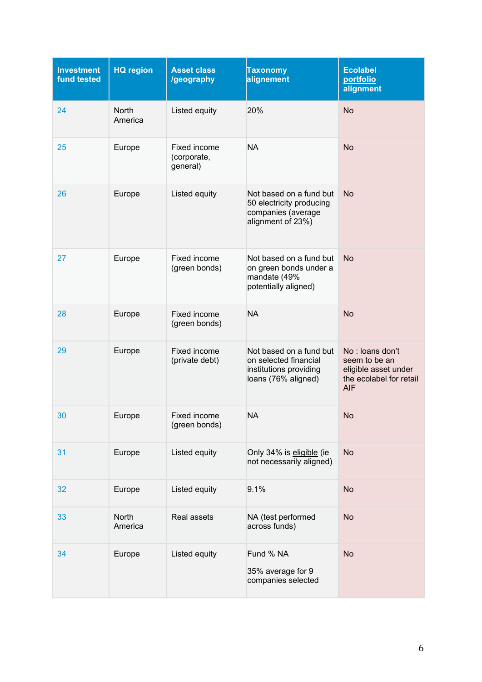| <b>Investment</b><br>fund tested | <b>HQ region</b> | <b>Asset class</b><br>/geography        | <b>Taxonomy</b><br>alignement                                                                     | <b>Ecolabel</b><br>portfolio<br>alignment                                                         |
|----------------------------------|------------------|-----------------------------------------|---------------------------------------------------------------------------------------------------|---------------------------------------------------------------------------------------------------|
| 24                               | North<br>America | Listed equity                           | 20%                                                                                               | <b>No</b>                                                                                         |
| 25                               | Europe           | Fixed income<br>(corporate,<br>general) | <b>NA</b>                                                                                         | <b>No</b>                                                                                         |
| 26                               | Europe           | Listed equity                           | Not based on a fund but<br>50 electricity producing<br>companies (average<br>alignment of 23%)    | <b>No</b>                                                                                         |
| 27                               | Europe           | Fixed income<br>(green bonds)           | Not based on a fund but<br>on green bonds under a<br>mandate (49%<br>potentially aligned)         | <b>No</b>                                                                                         |
| 28                               | Europe           | Fixed income<br>(green bonds)           | <b>NA</b>                                                                                         | <b>No</b>                                                                                         |
| 29                               | Europe           | Fixed income<br>(private debt)          | Not based on a fund but<br>on selected financial<br>institutions providing<br>loans (76% aligned) | No: loans don't<br>seem to be an<br>eligible asset under<br>the ecolabel for retail<br><b>AIF</b> |
| 30                               | Europe           | Fixed income<br>(green bonds)           | <b>NA</b>                                                                                         | <b>No</b>                                                                                         |
| 31                               | Europe           | Listed equity                           | Only 34% is eligible (ie<br>not necessarily aligned)                                              | <b>No</b>                                                                                         |
| 32                               | Europe           | Listed equity                           | 9.1%                                                                                              | <b>No</b>                                                                                         |
| 33                               | North<br>America | Real assets                             | NA (test performed<br>across funds)                                                               | No                                                                                                |
| 34                               | Europe           | Listed equity                           | Fund % NA<br>35% average for 9<br>companies selected                                              | <b>No</b>                                                                                         |